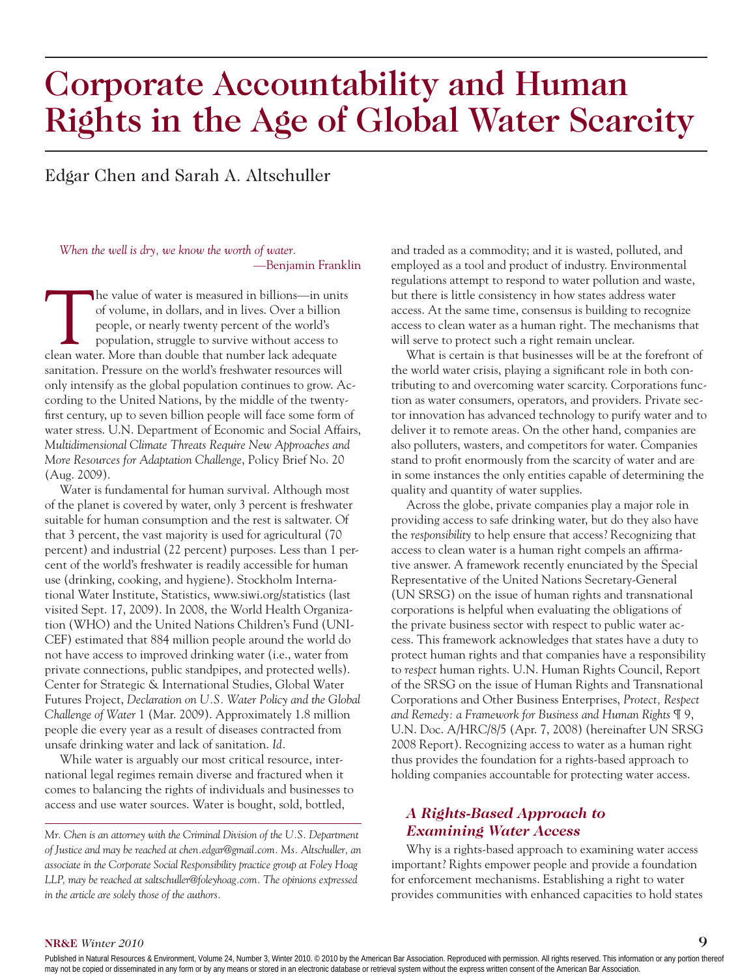# Corporate Accountability and Human Rights in the Age of Global Water Scarcity

Edgar Chen and Sarah A. Altschuller

*When the well is dry, we know the worth of water.* —Benjamin Franklin

The value of water is measured in billions—in units of volume, in dollars, and in lives. Over a billion people, or nearly twenty percent of the world's population, struggle to survive without access to clean water. More th of volume, in dollars, and in lives. Over a billion people, or nearly twenty percent of the world's population, struggle to survive without access to sanitation. Pressure on the world's freshwater resources will only intensify as the global population continues to grow. According to the United Nations, by the middle of the twentyfirst century, up to seven billion people will face some form of water stress. U.N. Department of Economic and Social Affairs, *Multidimensional Climate Threats Require New Approaches and More Resources for Adaptation Challenge*, Policy Brief No. 20 (Aug. 2009).

Water is fundamental for human survival. Although most of the planet is covered by water, only 3 percent is freshwater suitable for human consumption and the rest is saltwater. Of that 3 percent, the vast majority is used for agricultural (70 percent) and industrial (22 percent) purposes. Less than 1 percent of the world's freshwater is readily accessible for human use (drinking, cooking, and hygiene). Stockholm International Water Institute, Statistics, www.siwi.org/statistics (last visited Sept. 17, 2009). In 2008, the World Health Organization (WHO) and the United Nations Children's Fund (UNI-CEF) estimated that 884 million people around the world do not have access to improved drinking water (i.e., water from private connections, public standpipes, and protected wells). Center for Strategic & International Studies, Global Water Futures Project, *Declaration on U.S. Water Policy and the Global Challenge of Water* 1 (Mar. 2009). Approximately 1.8 million people die every year as a result of diseases contracted from unsafe drinking water and lack of sanitation. *Id.*

While water is arguably our most critical resource, international legal regimes remain diverse and fractured when it comes to balancing the rights of individuals and businesses to access and use water sources. Water is bought, sold, bottled,

*Mr. Chen is an attorney with the Criminal Division of the U.S. Department of Justice and may be reached at chen.edgar@gmail.com. Ms. Altschuller, an associate in the Corporate Social Responsibility practice group at Foley Hoag LLP, may be reached at saltschuller@foleyhoag.com. The opinions expressed in the article are solely those of the authors.*

and traded as a commodity; and it is wasted, polluted, and employed as a tool and product of industry. Environmental regulations attempt to respond to water pollution and waste, but there is little consistency in how states address water access. At the same time, consensus is building to recognize access to clean water as a human right. The mechanisms that will serve to protect such a right remain unclear.

What is certain is that businesses will be at the forefront of the world water crisis, playing a significant role in both contributing to and overcoming water scarcity. Corporations function as water consumers, operators, and providers. Private sector innovation has advanced technology to purify water and to deliver it to remote areas. On the other hand, companies are also polluters, wasters, and competitors for water. Companies stand to profit enormously from the scarcity of water and are in some instances the only entities capable of determining the quality and quantity of water supplies.

Across the globe, private companies play a major role in providing access to safe drinking water, but do they also have the *responsibility* to help ensure that access? Recognizing that access to clean water is a human right compels an affirmative answer. A framework recently enunciated by the Special Representative of the United Nations Secretary-General (UN SRSG) on the issue of human rights and transnational corporations is helpful when evaluating the obligations of the private business sector with respect to public water access. This framework acknowledges that states have a duty to protect human rights and that companies have a responsibility to *respect* human rights. U.N. Human Rights Council, Report of the SRSG on the issue of Human Rights and Transnational Corporations and Other Business Enterprises, *Protect, Respect and Remedy: a Framework for Business and Human Rights* ¶ 9, U.N. Doc. A/HRC/8/5 (Apr. 7, 2008) (hereinafter UN SRSG 2008 Report). Recognizing access to water as a human right thus provides the foundation for a rights-based approach to holding companies accountable for protecting water access.

# *A Rights-Based Approach to Examining Water Access*

Why is a rights-based approach to examining water access important? Rights empower people and provide a foundation for enforcement mechanisms. Establishing a right to water provides communities with enhanced capacities to hold states

#### **NR&E** *Winter 2010* **9**

Published in Natural Resources & Environment, Volume 24, Number 3, Winter 2010. © 2010 by the American Bar Association. Reproduced with permission. All rights reserved. This information or any portion thereof may not be copied or disseminated in any form or by any means or stored in an electronic database or retrieval system without the express written consent of the American Bar Association.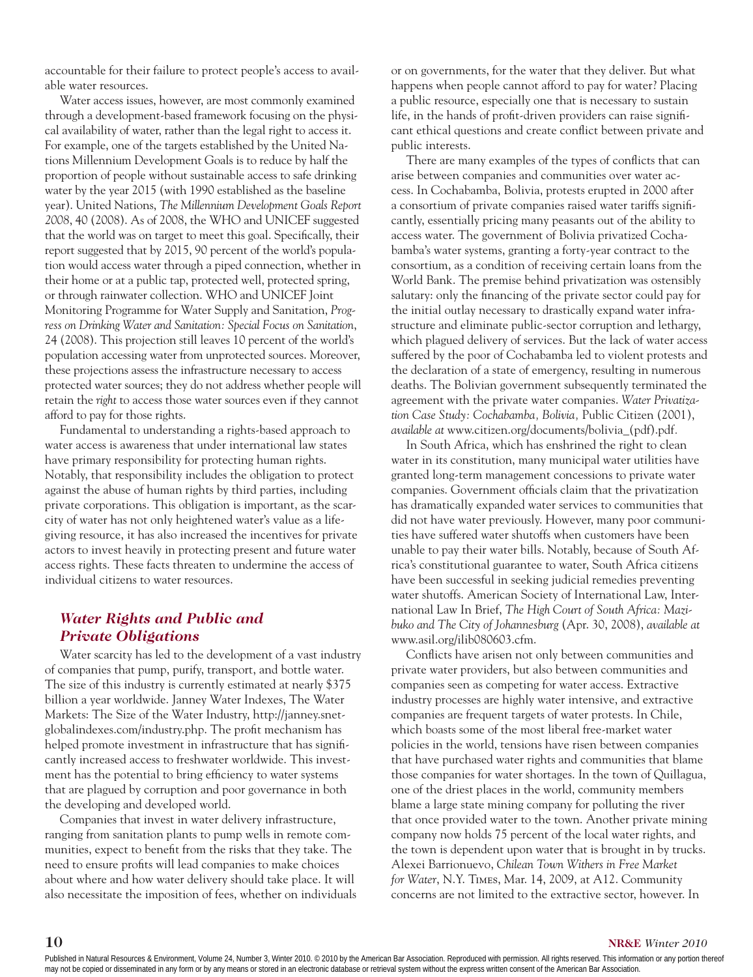accountable for their failure to protect people's access to available water resources.

Water access issues, however, are most commonly examined through a development-based framework focusing on the physical availability of water, rather than the legal right to access it. For example, one of the targets established by the United Nations Millennium Development Goals is to reduce by half the proportion of people without sustainable access to safe drinking water by the year 2015 (with 1990 established as the baseline year). United Nations, *The Millennium Development Goals Report 2008*, 40 (2008). As of 2008, the WHO and UNICEF suggested that the world was on target to meet this goal. Specifically, their report suggested that by 2015, 90 percent of the world's population would access water through a piped connection, whether in their home or at a public tap, protected well, protected spring, or through rainwater collection. WHO and UNICEF Joint Monitoring Programme for Water Supply and Sanitation, *Progress on Drinking Water and Sanitation: Special Focus on Sanitation*, 24 (2008). This projection still leaves 10 percent of the world's population accessing water from unprotected sources. Moreover, these projections assess the infrastructure necessary to access protected water sources; they do not address whether people will retain the *right* to access those water sources even if they cannot afford to pay for those rights.

Fundamental to understanding a rights-based approach to water access is awareness that under international law states have primary responsibility for protecting human rights. Notably, that responsibility includes the obligation to protect against the abuse of human rights by third parties, including private corporations. This obligation is important, as the scarcity of water has not only heightened water's value as a lifegiving resource, it has also increased the incentives for private actors to invest heavily in protecting present and future water access rights. These facts threaten to undermine the access of individual citizens to water resources.

### *Water Rights and Public and Private Obligations*

Water scarcity has led to the development of a vast industry of companies that pump, purify, transport, and bottle water. The size of this industry is currently estimated at nearly \$375 billion a year worldwide. Janney Water Indexes, The Water Markets: The Size of the Water Industry, http://janney.snetglobalindexes.com/industry.php. The profit mechanism has helped promote investment in infrastructure that has significantly increased access to freshwater worldwide. This investment has the potential to bring efficiency to water systems that are plagued by corruption and poor governance in both the developing and developed world.

Companies that invest in water delivery infrastructure, ranging from sanitation plants to pump wells in remote communities, expect to benefit from the risks that they take. The need to ensure profits will lead companies to make choices about where and how water delivery should take place. It will also necessitate the imposition of fees, whether on individuals or on governments, for the water that they deliver. But what happens when people cannot afford to pay for water? Placing a public resource, especially one that is necessary to sustain life, in the hands of profit-driven providers can raise significant ethical questions and create conflict between private and public interests.

There are many examples of the types of conflicts that can arise between companies and communities over water access. In Cochabamba, Bolivia, protests erupted in 2000 after a consortium of private companies raised water tariffs significantly, essentially pricing many peasants out of the ability to access water. The government of Bolivia privatized Cochabamba's water systems, granting a forty-year contract to the consortium, as a condition of receiving certain loans from the World Bank. The premise behind privatization was ostensibly salutary: only the financing of the private sector could pay for the initial outlay necessary to drastically expand water infrastructure and eliminate public-sector corruption and lethargy, which plagued delivery of services. But the lack of water access suffered by the poor of Cochabamba led to violent protests and the declaration of a state of emergency, resulting in numerous deaths. The Bolivian government subsequently terminated the agreement with the private water companies. *Water Privatization Case Study: Cochabamba, Bolivia,* Public Citizen (2001), *available at* www.citizen.org/documents/bolivia\_(pdf).pdf*.* 

In South Africa, which has enshrined the right to clean water in its constitution, many municipal water utilities have granted long-term management concessions to private water companies. Government officials claim that the privatization has dramatically expanded water services to communities that did not have water previously. However, many poor communities have suffered water shutoffs when customers have been unable to pay their water bills. Notably, because of South Africa's constitutional guarantee to water, South Africa citizens have been successful in seeking judicial remedies preventing water shutoffs. American Society of International Law, International Law In Brief, *The High Court of South Africa: Mazibuko and The City of Johannesburg* (Apr. 30, 2008), *available at* www.asil.org/ilib080603.cfm.

Conflicts have arisen not only between communities and private water providers, but also between communities and companies seen as competing for water access. Extractive industry processes are highly water intensive, and extractive companies are frequent targets of water protests. In Chile, which boasts some of the most liberal free-market water policies in the world, tensions have risen between companies that have purchased water rights and communities that blame those companies for water shortages. In the town of Quillagua, one of the driest places in the world, community members blame a large state mining company for polluting the river that once provided water to the town. Another private mining company now holds 75 percent of the local water rights, and the town is dependent upon water that is brought in by trucks. Alexei Barrionuevo, *Chilean Town Withers in Free Market for Water*, N.Y. Times, Mar. 14, 2009, at A12. Community concerns are not limited to the extractive sector, however. In

Published in Natural Resources & Environment, Volume 24, Number 3, Winter 2010. © 2010 by the American Bar Association. Reproduced with permission. All rights reserved. This information or any portion thereof may not be copied or disseminated in any form or by any means or stored in an electronic database or retrieval system without the express written consent of the American Bar Association.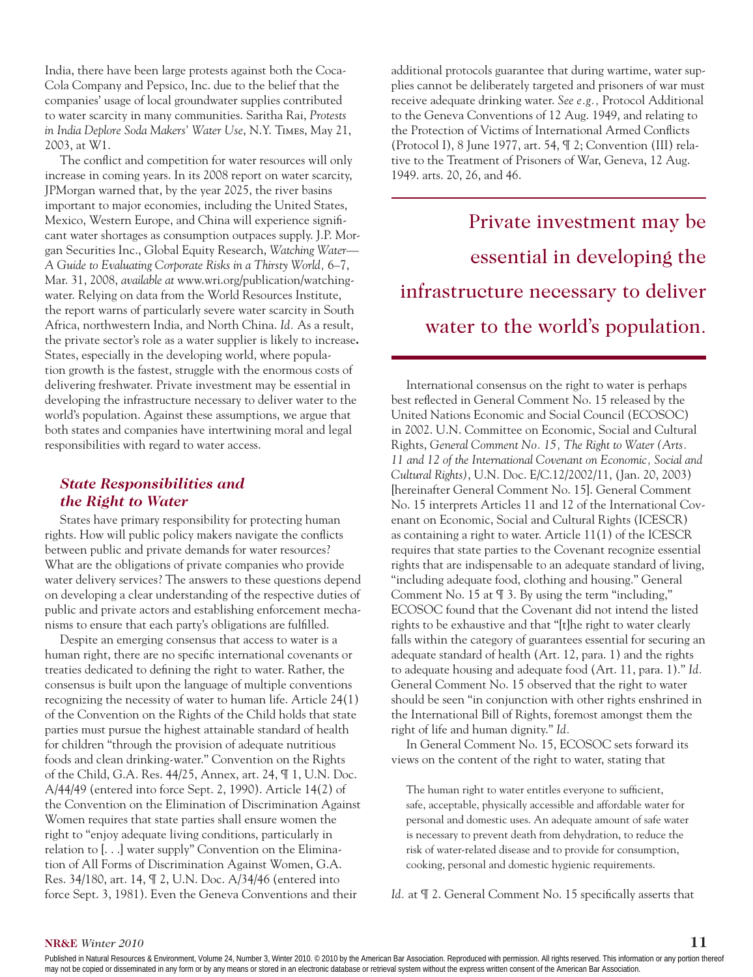India, there have been large protests against both the Coca-Cola Company and Pepsico, Inc. due to the belief that the companies' usage of local groundwater supplies contributed to water scarcity in many communities. Saritha Rai, *Protests in India Deplore Soda Makers' Water Use*, N.Y. Times, May 21, 2003, at W1.

The conflict and competition for water resources will only increase in coming years. In its 2008 report on water scarcity, JPMorgan warned that, by the year 2025, the river basins important to major economies, including the United States, Mexico, Western Europe, and China will experience significant water shortages as consumption outpaces supply. J.P. Morgan Securities Inc., Global Equity Research, *Watching Water— A Guide to Evaluating Corporate Risks in a Thirsty World,* 6–7, Mar. 31, 2008, *available at* www.wri.org/publication/watchingwater. Relying on data from the World Resources Institute, the report warns of particularly severe water scarcity in South Africa, northwestern India, and North China. *Id.* As a result, the private sector's role as a water supplier is likely to increase**.**  States, especially in the developing world, where population growth is the fastest, struggle with the enormous costs of delivering freshwater. Private investment may be essential in developing the infrastructure necessary to deliver water to the world's population. Against these assumptions, we argue that both states and companies have intertwining moral and legal responsibilities with regard to water access.

# *State Responsibilities and the Right to Water*

States have primary responsibility for protecting human rights. How will public policy makers navigate the conflicts between public and private demands for water resources? What are the obligations of private companies who provide water delivery services? The answers to these questions depend on developing a clear understanding of the respective duties of public and private actors and establishing enforcement mechanisms to ensure that each party's obligations are fulfilled.

Despite an emerging consensus that access to water is a human right, there are no specific international covenants or treaties dedicated to defining the right to water. Rather, the consensus is built upon the language of multiple conventions recognizing the necessity of water to human life. Article 24(1) of the Convention on the Rights of the Child holds that state parties must pursue the highest attainable standard of health for children "through the provision of adequate nutritious foods and clean drinking-water." Convention on the Rights of the Child, G.A. Res. 44/25, Annex, art. 24, ¶ 1, U.N. Doc. A/44/49 (entered into force Sept. 2, 1990). Article 14(2) of the Convention on the Elimination of Discrimination Against Women requires that state parties shall ensure women the right to "enjoy adequate living conditions, particularly in relation to [. . .] water supply" Convention on the Elimination of All Forms of Discrimination Against Women, G.A. Res. 34/180, art. 14, ¶ 2, U.N. Doc. A/34/46 (entered into force Sept. 3, 1981). Even the Geneva Conventions and their

additional protocols guarantee that during wartime, water supplies cannot be deliberately targeted and prisoners of war must receive adequate drinking water. *See e.g.,* Protocol Additional to the Geneva Conventions of 12 Aug. 1949, and relating to the Protection of Victims of International Armed Conflicts (Protocol I), 8 June 1977, art. 54, ¶ 2; Convention (III) relative to the Treatment of Prisoners of War, Geneva, 12 Aug. 1949. arts. 20, 26, and 46.

Private investment may be essential in developing the infrastructure necessary to deliver water to the world's population.

International consensus on the right to water is perhaps best reflected in General Comment No. 15 released by the United Nations Economic and Social Council (ECOSOC) in 2002. U.N. Committee on Economic, Social and Cultural Rights, *General Comment No. 15, The Right to Water (Arts. 11 and 12 of the International Covenant on Economic, Social and Cultural Rights)*, U.N. Doc. E/C.12/2002/11, (Jan. 20, 2003) [hereinafter General Comment No. 15]. General Comment No. 15 interprets Articles 11 and 12 of the International Covenant on Economic, Social and Cultural Rights (ICESCR) as containing a right to water. Article 11(1) of the ICESCR requires that state parties to the Covenant recognize essential rights that are indispensable to an adequate standard of living, "including adequate food, clothing and housing." General Comment No. 15 at ¶ 3. By using the term "including," ECOSOC found that the Covenant did not intend the listed rights to be exhaustive and that "[t]he right to water clearly falls within the category of guarantees essential for securing an adequate standard of health (Art. 12, para. 1) and the rights to adequate housing and adequate food (Art. 11, para. 1)." *Id.* General Comment No. 15 observed that the right to water should be seen "in conjunction with other rights enshrined in the International Bill of Rights, foremost amongst them the right of life and human dignity." *Id.*

In General Comment No. 15, ECOSOC sets forward its views on the content of the right to water, stating that

The human right to water entitles everyone to sufficient, safe, acceptable, physically accessible and affordable water for personal and domestic uses. An adequate amount of safe water is necessary to prevent death from dehydration, to reduce the risk of water-related disease and to provide for consumption, cooking, personal and domestic hygienic requirements.

*Id.* at ¶ 2. General Comment No. 15 specifically asserts that

**NR&E** *Winter 2010* **11**

Published in Natural Resources & Environment, Volume 24, Number 3, Winter 2010. © 2010 by the American Bar Association. Reproduced with permission. All rights reserved. This information or any portion thereof may not be copied or disseminated in any form or by any means or stored in an electronic database or retrieval system without the express written consent of the American Bar Association.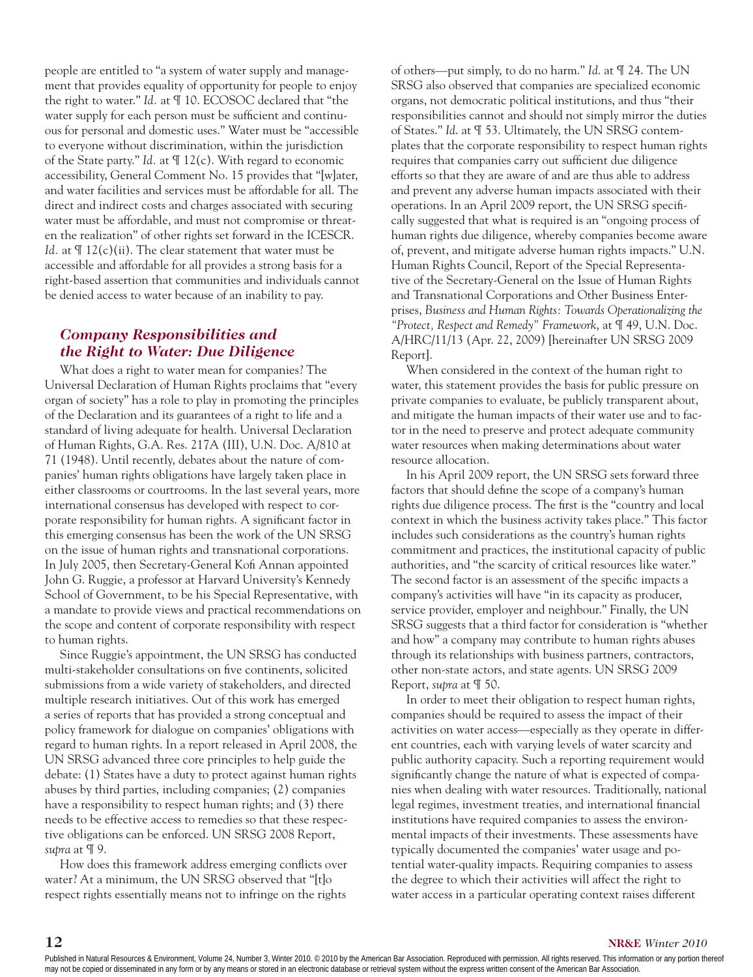people are entitled to "a system of water supply and management that provides equality of opportunity for people to enjoy the right to water." *Id.* at ¶ 10. ECOSOC declared that "the water supply for each person must be sufficient and continuous for personal and domestic uses." Water must be "accessible to everyone without discrimination, within the jurisdiction of the State party." *Id.* at ¶ 12(c). With regard to economic accessibility, General Comment No. 15 provides that "[w]ater, and water facilities and services must be affordable for all. The direct and indirect costs and charges associated with securing water must be affordable, and must not compromise or threaten the realization" of other rights set forward in the ICESCR. *Id.* at  $\P$  12(c)(ii). The clear statement that water must be accessible and affordable for all provides a strong basis for a right-based assertion that communities and individuals cannot be denied access to water because of an inability to pay.

### *Company Responsibilities and the Right to Water: Due Diligence*

What does a right to water mean for companies? The Universal Declaration of Human Rights proclaims that "every organ of society" has a role to play in promoting the principles of the Declaration and its guarantees of a right to life and a standard of living adequate for health. Universal Declaration of Human Rights, G.A. Res. 217A (III), U.N. Doc. A/810 at 71 (1948). Until recently, debates about the nature of companies' human rights obligations have largely taken place in either classrooms or courtrooms. In the last several years, more international consensus has developed with respect to corporate responsibility for human rights. A significant factor in this emerging consensus has been the work of the UN SRSG on the issue of human rights and transnational corporations. In July 2005, then Secretary-General Kofi Annan appointed John G. Ruggie, a professor at Harvard University's Kennedy School of Government, to be his Special Representative, with a mandate to provide views and practical recommendations on the scope and content of corporate responsibility with respect to human rights.

Since Ruggie's appointment, the UN SRSG has conducted multi-stakeholder consultations on five continents, solicited submissions from a wide variety of stakeholders, and directed multiple research initiatives. Out of this work has emerged a series of reports that has provided a strong conceptual and policy framework for dialogue on companies' obligations with regard to human rights. In a report released in April 2008, the UN SRSG advanced three core principles to help guide the debate: (1) States have a duty to protect against human rights abuses by third parties, including companies; (2) companies have a responsibility to respect human rights; and (3) there needs to be effective access to remedies so that these respective obligations can be enforced. UN SRSG 2008 Report, *supra* at ¶ 9.

How does this framework address emerging conflicts over water? At a minimum, the UN SRSG observed that "[t]o respect rights essentially means not to infringe on the rights

of others—put simply, to do no harm." *Id*. at ¶ 24. The UN SRSG also observed that companies are specialized economic organs, not democratic political institutions, and thus "their responsibilities cannot and should not simply mirror the duties of States." *Id*. at ¶ 53. Ultimately, the UN SRSG contemplates that the corporate responsibility to respect human rights requires that companies carry out sufficient due diligence efforts so that they are aware of and are thus able to address and prevent any adverse human impacts associated with their operations. In an April 2009 report, the UN SRSG specifically suggested that what is required is an "ongoing process of human rights due diligence, whereby companies become aware of, prevent, and mitigate adverse human rights impacts." U.N. Human Rights Council, Report of the Special Representative of the Secretary-General on the Issue of Human Rights and Transnational Corporations and Other Business Enterprises, *Business and Human Rights: Towards Operationalizing the "Protect, Respect and Remedy" Framework*, at ¶ 49, U.N. Doc. A/HRC/11/13 (Apr. 22, 2009) [hereinafter UN SRSG 2009 Report].

When considered in the context of the human right to water, this statement provides the basis for public pressure on private companies to evaluate, be publicly transparent about, and mitigate the human impacts of their water use and to factor in the need to preserve and protect adequate community water resources when making determinations about water resource allocation.

In his April 2009 report, the UN SRSG sets forward three factors that should define the scope of a company's human rights due diligence process. The first is the "country and local context in which the business activity takes place." This factor includes such considerations as the country's human rights commitment and practices, the institutional capacity of public authorities, and "the scarcity of critical resources like water." The second factor is an assessment of the specific impacts a company's activities will have "in its capacity as producer, service provider, employer and neighbour." Finally, the UN SRSG suggests that a third factor for consideration is "whether and how" a company may contribute to human rights abuses through its relationships with business partners, contractors, other non-state actors, and state agents. UN SRSG 2009 Report, *supra* at ¶ 50.

In order to meet their obligation to respect human rights, companies should be required to assess the impact of their activities on water access—especially as they operate in different countries, each with varying levels of water scarcity and public authority capacity. Such a reporting requirement would significantly change the nature of what is expected of companies when dealing with water resources. Traditionally, national legal regimes, investment treaties, and international financial institutions have required companies to assess the environmental impacts of their investments. These assessments have typically documented the companies' water usage and potential water-quality impacts. Requiring companies to assess the degree to which their activities will affect the right to water access in a particular operating context raises different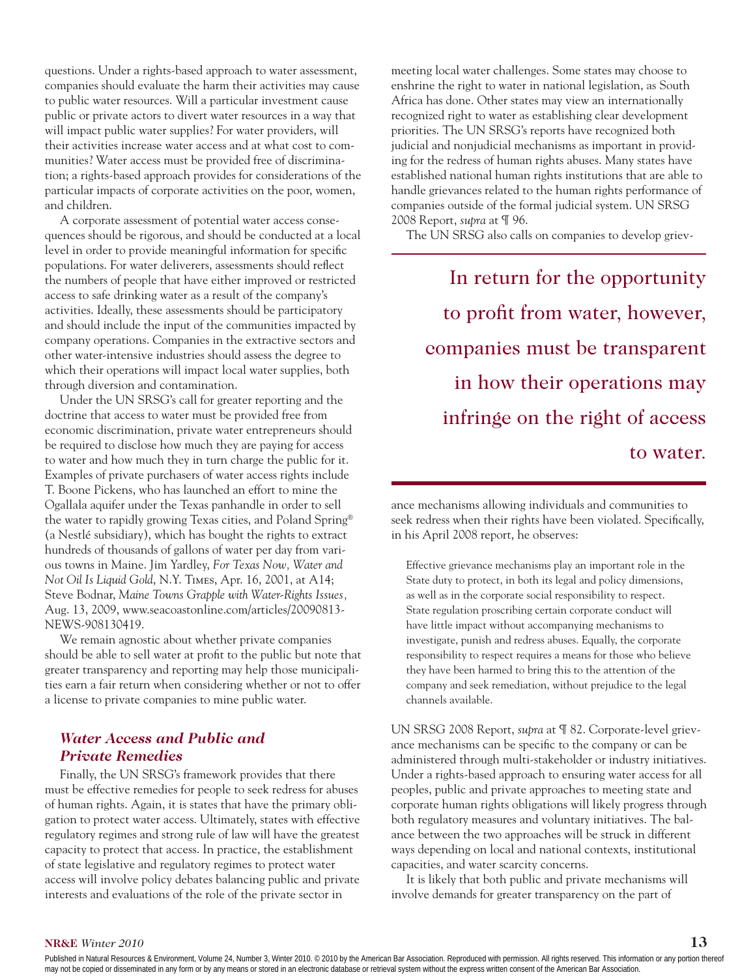questions. Under a rights-based approach to water assessment, companies should evaluate the harm their activities may cause to public water resources. Will a particular investment cause public or private actors to divert water resources in a way that will impact public water supplies? For water providers, will their activities increase water access and at what cost to communities? Water access must be provided free of discrimination; a rights-based approach provides for considerations of the particular impacts of corporate activities on the poor, women, and children.

A corporate assessment of potential water access consequences should be rigorous, and should be conducted at a local level in order to provide meaningful information for specific populations. For water deliverers, assessments should reflect the numbers of people that have either improved or restricted access to safe drinking water as a result of the company's activities. Ideally, these assessments should be participatory and should include the input of the communities impacted by company operations. Companies in the extractive sectors and other water-intensive industries should assess the degree to which their operations will impact local water supplies, both through diversion and contamination.

Under the UN SRSG's call for greater reporting and the doctrine that access to water must be provided free from economic discrimination, private water entrepreneurs should be required to disclose how much they are paying for access to water and how much they in turn charge the public for it. Examples of private purchasers of water access rights include T. Boone Pickens, who has launched an effort to mine the Ogallala aquifer under the Texas panhandle in order to sell the water to rapidly growing Texas cities, and Poland Spring® (a Nestlé subsidiary), which has bought the rights to extract hundreds of thousands of gallons of water per day from various towns in Maine. Jim Yardley, *For Texas Now, Water and Not Oil Is Liquid Gold*, N.Y. Times, Apr. 16, 2001, at A14; Steve Bodnar, *Maine Towns Grapple with Water-Rights Issues,*  Aug. 13, 2009, www.seacoastonline.com/articles/20090813- NEWS-908130419.

We remain agnostic about whether private companies should be able to sell water at profit to the public but note that greater transparency and reporting may help those municipalities earn a fair return when considering whether or not to offer a license to private companies to mine public water.

## *Water Access and Public and Private Remedies*

Finally, the UN SRSG's framework provides that there must be effective remedies for people to seek redress for abuses of human rights. Again, it is states that have the primary obligation to protect water access. Ultimately, states with effective regulatory regimes and strong rule of law will have the greatest capacity to protect that access. In practice, the establishment of state legislative and regulatory regimes to protect water access will involve policy debates balancing public and private interests and evaluations of the role of the private sector in

meeting local water challenges. Some states may choose to enshrine the right to water in national legislation, as South Africa has done. Other states may view an internationally recognized right to water as establishing clear development priorities. The UN SRSG's reports have recognized both judicial and nonjudicial mechanisms as important in providing for the redress of human rights abuses. Many states have established national human rights institutions that are able to handle grievances related to the human rights performance of companies outside of the formal judicial system. UN SRSG 2008 Report, *supra* at ¶ 96.

The UN SRSG also calls on companies to develop griev-

In return for the opportunity to profit from water, however, companies must be transparent in how their operations may infringe on the right of access to water.

ance mechanisms allowing individuals and communities to seek redress when their rights have been violated. Specifically, in his April 2008 report, he observes:

Effective grievance mechanisms play an important role in the State duty to protect, in both its legal and policy dimensions, as well as in the corporate social responsibility to respect. State regulation proscribing certain corporate conduct will have little impact without accompanying mechanisms to investigate, punish and redress abuses. Equally, the corporate responsibility to respect requires a means for those who believe they have been harmed to bring this to the attention of the company and seek remediation, without prejudice to the legal channels available.

UN SRSG 2008 Report, *supra* at ¶ 82. Corporate-level grievance mechanisms can be specific to the company or can be administered through multi-stakeholder or industry initiatives. Under a rights-based approach to ensuring water access for all peoples, public and private approaches to meeting state and corporate human rights obligations will likely progress through both regulatory measures and voluntary initiatives. The balance between the two approaches will be struck in different ways depending on local and national contexts, institutional capacities, and water scarcity concerns.

It is likely that both public and private mechanisms will involve demands for greater transparency on the part of

**NR&E** *Winter 2010* **13**

Published in Natural Resources & Environment, Volume 24, Number 3, Winter 2010. © 2010 by the American Bar Association. Reproduced with permission. All rights reserved. This information or any portion thereof may not be copied or disseminated in any form or by any means or stored in an electronic database or retrieval system without the express written consent of the American Bar Association.